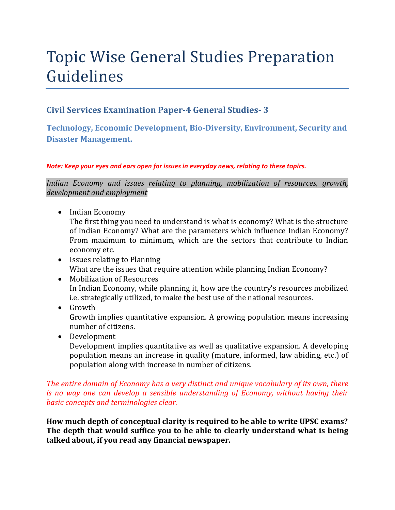# Topic Wise General Studies Preparation Guidelines

### **Civil Services Examination Paper-4 General Studies- 3**

**Technology, Economic Development, Bio-Diversity, Environment, Security and Disaster Management.** 

#### *Note: Keep your eyes and ears open for issues in everyday news, relating to these topics.*

*Indian Economy and issues relating to planning, mobilization of resources, growth, development and employment* 

• Indian Economy

The first thing you need to understand is what is economy? What is the structure of Indian Economy? What are the parameters which influence Indian Economy? From maximum to minimum, which are the sectors that contribute to Indian economy etc.

- Issues relating to Planning What are the issues that require attention while planning Indian Economy?
- Mobilization of Resources In Indian Economy, while planning it, how are the country's resources mobilized i.e. strategically utilized, to make the best use of the national resources.
- Growth Growth implies quantitative expansion. A growing population means increasing number of citizens.
- Development

Development implies quantitative as well as qualitative expansion. A developing population means an increase in quality (mature, informed, law abiding, etc.) of population along with increase in number of citizens.

#### *The entire domain of Economy has a very distinct and unique vocabulary of its own, there is no way one can develop a sensible understanding of Economy, without having their basic concepts and terminologies clear.*

**How much depth of conceptual clarity is required to be able to write UPSC exams? The depth that would suffice you to be able to clearly understand what is being talked about, if you read any financial newspaper.**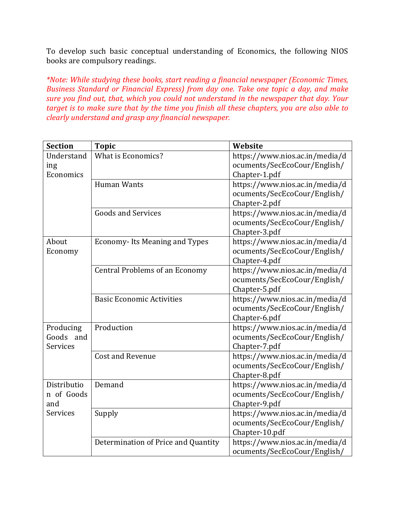To develop such basic conceptual understanding of Economics, the following NIOS books are compulsory readings.

*\*Note: While studying these books, start reading a financial newspaper (Economic Times, Business Standard or Financial Express) from day one. Take one topic a day, and make sure you find out, that, which you could not understand in the newspaper that day. Your target is to make sure that by the time you finish all these chapters, you are also able to clearly understand and grasp any financial newspaper.* 

| <b>Section</b> | <b>Topic</b>                          | Website                        |
|----------------|---------------------------------------|--------------------------------|
| Understand     | <b>What is Economics?</b>             | https://www.nios.ac.in/media/d |
| ing            |                                       | ocuments/SecEcoCour/English/   |
| Economics      |                                       | Chapter-1.pdf                  |
|                | <b>Human Wants</b>                    | https://www.nios.ac.in/media/d |
|                |                                       | ocuments/SecEcoCour/English/   |
|                |                                       | Chapter-2.pdf                  |
|                | <b>Goods and Services</b>             | https://www.nios.ac.in/media/d |
|                |                                       | ocuments/SecEcoCour/English/   |
|                |                                       | Chapter-3.pdf                  |
| About          | <b>Economy-Its Meaning and Types</b>  | https://www.nios.ac.in/media/d |
| Economy        |                                       | ocuments/SecEcoCour/English/   |
|                |                                       | Chapter-4.pdf                  |
|                | <b>Central Problems of an Economy</b> | https://www.nios.ac.in/media/d |
|                |                                       | ocuments/SecEcoCour/English/   |
|                |                                       | Chapter-5.pdf                  |
|                | <b>Basic Economic Activities</b>      | https://www.nios.ac.in/media/d |
|                |                                       | ocuments/SecEcoCour/English/   |
|                |                                       | Chapter-6.pdf                  |
| Producing      | Production                            | https://www.nios.ac.in/media/d |
| Goods<br>and   |                                       | ocuments/SecEcoCour/English/   |
| Services       |                                       | Chapter-7.pdf                  |
|                | <b>Cost and Revenue</b>               | https://www.nios.ac.in/media/d |
|                |                                       | ocuments/SecEcoCour/English/   |
|                |                                       | Chapter-8.pdf                  |
| Distributio    | Demand                                | https://www.nios.ac.in/media/d |
| n of Goods     |                                       | ocuments/SecEcoCour/English/   |
| and            |                                       | Chapter-9.pdf                  |
| Services       | Supply                                | https://www.nios.ac.in/media/d |
|                |                                       | ocuments/SecEcoCour/English/   |
|                |                                       | Chapter-10.pdf                 |
|                | Determination of Price and Quantity   | https://www.nios.ac.in/media/d |
|                |                                       | ocuments/SecEcoCour/English/   |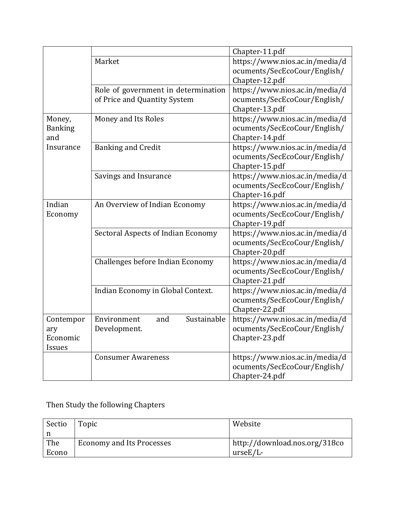|                |                                     | Chapter-11.pdf                 |
|----------------|-------------------------------------|--------------------------------|
|                | Market                              | https://www.nios.ac.in/media/d |
|                |                                     | ocuments/SecEcoCour/English/   |
|                |                                     | Chapter-12.pdf                 |
|                | Role of government in determination | https://www.nios.ac.in/media/d |
|                | of Price and Quantity System        | ocuments/SecEcoCour/English/   |
|                |                                     | Chapter-13.pdf                 |
| Money,         | Money and Its Roles                 | https://www.nios.ac.in/media/d |
| <b>Banking</b> |                                     | ocuments/SecEcoCour/English/   |
| and            |                                     | Chapter-14.pdf                 |
| Insurance      | <b>Banking and Credit</b>           | https://www.nios.ac.in/media/d |
|                |                                     | ocuments/SecEcoCour/English/   |
|                |                                     | Chapter-15.pdf                 |
|                | Savings and Insurance               | https://www.nios.ac.in/media/d |
|                |                                     | ocuments/SecEcoCour/English/   |
|                |                                     | Chapter-16.pdf                 |
| Indian         | An Overview of Indian Economy       | https://www.nios.ac.in/media/d |
| Economy        |                                     | ocuments/SecEcoCour/English/   |
|                |                                     | Chapter-19.pdf                 |
|                | Sectoral Aspects of Indian Economy  | https://www.nios.ac.in/media/d |
|                |                                     | ocuments/SecEcoCour/English/   |
|                |                                     | Chapter-20.pdf                 |
|                | Challenges before Indian Economy    | https://www.nios.ac.in/media/d |
|                |                                     | ocuments/SecEcoCour/English/   |
|                |                                     | Chapter-21.pdf                 |
|                | Indian Economy in Global Context.   | https://www.nios.ac.in/media/d |
|                |                                     | ocuments/SecEcoCour/English/   |
|                |                                     | Chapter-22.pdf                 |
| Contempor      | Environment<br>Sustainable<br>and   | https://www.nios.ac.in/media/d |
| ary            | Development.                        | ocuments/SecEcoCour/English/   |
| Economic       |                                     | Chapter-23.pdf                 |
| Issues         |                                     |                                |
|                | <b>Consumer Awareness</b>           | https://www.nios.ac.in/media/d |
|                |                                     | ocuments/SecEcoCour/English/   |
|                |                                     | Chapter-24.pdf                 |

Then Study the following Chapters

| Sectio | Topic                            | Website                       |
|--------|----------------------------------|-------------------------------|
|        |                                  |                               |
| The    | <b>Economy and Its Processes</b> | http://download.nos.org/318co |
| Econo  |                                  | $urseE/L$ -                   |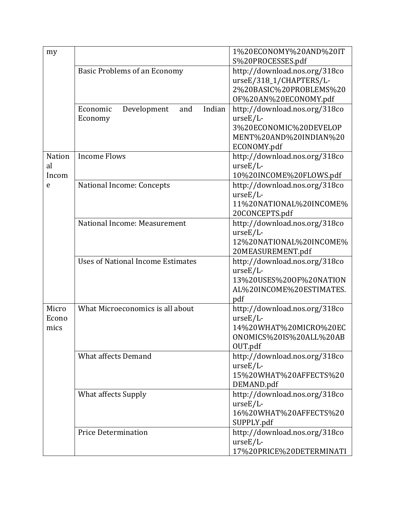| my                                |                                                     | 1%20ECONOMY%20AND%20IT<br>S%20PROCESSES.pdf                                                                     |
|-----------------------------------|-----------------------------------------------------|-----------------------------------------------------------------------------------------------------------------|
|                                   | <b>Basic Problems of an Economy</b>                 | http://download.nos.org/318co<br>urseE/318_1/CHAPTERS/L-<br>2%20BASIC%20PROBLEMS%20<br>OF%20AN%20ECONOMY.pdf    |
|                                   | Indian<br>Economic<br>Development<br>and<br>Economy | http://download.nos.org/318co<br>$urseE/L$ -<br>3%20ECONOMIC%20DEVELOP<br>MENT%20AND%20INDIAN%20<br>ECONOMY.pdf |
| <b>Nation</b><br>al<br>Incom<br>e | <b>Income Flows</b>                                 | http://download.nos.org/318co<br>$urseE/L$ -<br>10%20INCOME%20FLOWS.pdf                                         |
|                                   | National Income: Concepts                           | http://download.nos.org/318co<br>$urseE/L$ -<br>11%20NATIONAL%20INCOME%<br>20CONCEPTS.pdf                       |
|                                   | National Income: Measurement                        | http://download.nos.org/318co<br>$urseE/L$ -<br>12%20NATIONAL%20INCOME%<br>20MEASUREMENT.pdf                    |
|                                   | <b>Uses of National Income Estimates</b>            | http://download.nos.org/318co<br>$urseE/L$ -<br>13%20USES%20OF%20NATION<br>AL%20INCOME%20ESTIMATES.<br>pdf      |
| Micro<br>Econo<br>mics            | What Microeconomics is all about                    | http://download.nos.org/318co<br>$urseE/L$ -<br>14%20WHAT%20MICRO%20EC<br>ONOMICS%20IS%20ALL%20AB<br>OUT.pdf    |
|                                   | <b>What affects Demand</b>                          | http://download.nos.org/318co<br>$urseE/L$ -<br>15%20WHAT%20AFFECTS%20<br>DEMAND.pdf                            |
|                                   | <b>What affects Supply</b>                          | http://download.nos.org/318co<br>$urseE/L-$<br>16%20WHAT%20AFFECTS%20<br>SUPPLY.pdf                             |
|                                   | <b>Price Determination</b>                          | http://download.nos.org/318co<br>$urseE/L$ -<br>17%20PRICE%20DETERMINATI                                        |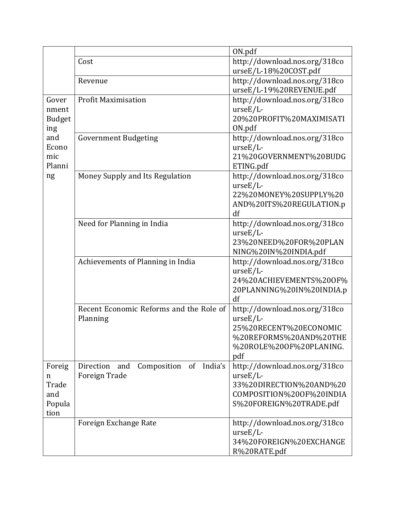|               |                                                  | ON.pdf                                       |
|---------------|--------------------------------------------------|----------------------------------------------|
|               | Cost                                             | http://download.nos.org/318co                |
|               |                                                  | urseE/L-18%20COST.pdf                        |
|               | Revenue                                          | http://download.nos.org/318co                |
|               |                                                  | urseE/L-19%20REVENUE.pdf                     |
| Gover         | <b>Profit Maximisation</b>                       | http://download.nos.org/318co                |
| nment         |                                                  | $urseE/L$ -                                  |
| <b>Budget</b> |                                                  | 20%20PROFIT%20MAXIMISATI                     |
| ing           |                                                  | ON.pdf                                       |
| and           | <b>Government Budgeting</b>                      | http://download.nos.org/318co                |
| Econo         |                                                  | $urseE/L$ -                                  |
| mic           |                                                  | 21%20GOVERNMENT%20BUDG                       |
| Planni        |                                                  | ETING.pdf                                    |
| ng            | Money Supply and Its Regulation                  | http://download.nos.org/318co<br>$urseE/L$ - |
|               |                                                  | 22%20MONEY%20SUPPLY%20                       |
|               |                                                  | AND%20ITS%20REGULATION.p                     |
|               |                                                  | df                                           |
|               | Need for Planning in India                       | http://download.nos.org/318co                |
|               |                                                  | $urseE/L$ -                                  |
|               |                                                  | 23%20NEED%20FOR%20PLAN                       |
|               |                                                  | NING%20IN%20INDIA.pdf                        |
|               | Achievements of Planning in India                | http://download.nos.org/318co                |
|               |                                                  | $urseE/L$ -                                  |
|               |                                                  | 24%20ACHIEVEMENTS%20OF%                      |
|               |                                                  | 20PLANNING%20IN%20INDIA.p                    |
|               |                                                  | df                                           |
|               | Recent Economic Reforms and the Role of          | http://download.nos.org/318co                |
|               | Planning                                         | $urseE/L$ -                                  |
|               |                                                  | 25%20RECENT%20ECONOMIC                       |
|               |                                                  | %20REFORMS%20AND%20THE                       |
|               |                                                  | %20ROLE%20OF%20PLANING.                      |
|               |                                                  | pdf                                          |
| Foreig        | of<br>India's<br>Composition<br>Direction<br>and | http://download.nos.org/318co<br>$urseE/L$ - |
| n<br>Trade    | <b>Foreign Trade</b>                             | 33%20DIRECTION%20AND%20                      |
| and           |                                                  | COMPOSITION%20OF%20INDIA                     |
| Popula        |                                                  | S%20FOREIGN%20TRADE.pdf                      |
| tion          |                                                  |                                              |
|               | Foreign Exchange Rate                            | http://download.nos.org/318co                |
|               |                                                  | $urseE/L$ -                                  |
|               |                                                  | 34%20FOREIGN%20EXCHANGE                      |
|               |                                                  | R%20RATE.pdf                                 |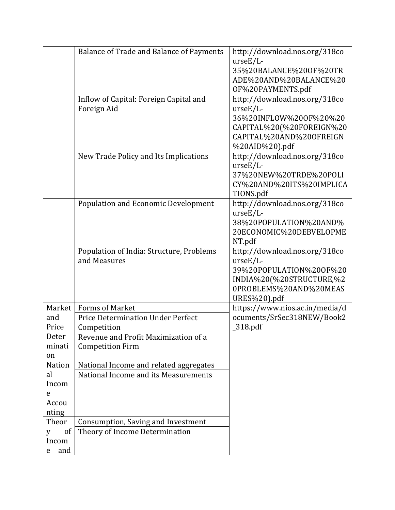|                    | <b>Balance of Trade and Balance of Payments</b> | http://download.nos.org/318co  |
|--------------------|-------------------------------------------------|--------------------------------|
|                    |                                                 | $urseE/L$ -                    |
|                    |                                                 | 35%20BALANCE%200F%20TR         |
|                    |                                                 | ADE%20AND%20BALANCE%20         |
|                    |                                                 | OF%20PAYMENTS.pdf              |
|                    | Inflow of Capital: Foreign Capital and          | http://download.nos.org/318co  |
|                    | Foreign Aid                                     | $urseE/L$ -                    |
|                    |                                                 | 36%20INFLOW%200F%20%20         |
|                    |                                                 | CAPITAL%20(%20FOREIGN%20       |
|                    |                                                 | CAPITAL%20AND%20OFREIGN        |
|                    |                                                 | %20AID%20).pdf                 |
|                    | New Trade Policy and Its Implications           | http://download.nos.org/318co  |
|                    |                                                 | $urseE/L$ -                    |
|                    |                                                 | 37%20NEW%20TRDE%20POLI         |
|                    |                                                 | CY%20AND%20ITS%20IMPLICA       |
|                    |                                                 | TIONS.pdf                      |
|                    | <b>Population and Economic Development</b>      | http://download.nos.org/318co  |
|                    |                                                 | $urseE/L$ -                    |
|                    |                                                 | 38%20POPULATION%20AND%         |
|                    |                                                 | 20ECONOMIC%20DEBVELOPME        |
|                    |                                                 | NT.pdf                         |
|                    | Population of India: Structure, Problems        | http://download.nos.org/318co  |
|                    | and Measures                                    | $urseE/L$ -                    |
|                    |                                                 | 39%20POPULATION%20OF%20        |
|                    |                                                 | INDIA%20(%20STRUCTURE,%2       |
|                    |                                                 | 0PROBLEMS%20AND%20MEAS         |
|                    |                                                 | URES%20).pdf                   |
| Market             | <b>Forms of Market</b>                          | https://www.nios.ac.in/media/d |
| and                | Price Determination Under Perfect               | ocuments/SrSec318NEW/Book2     |
| Price              | Competition                                     | $_318.pdf$                     |
| Deter              | Revenue and Profit Maximization of a            |                                |
| minati             | <b>Competition Firm</b>                         |                                |
| on                 |                                                 |                                |
| Nation             | National Income and related aggregates          |                                |
| al                 | National Income and its Measurements            |                                |
| Incom              |                                                 |                                |
| e                  |                                                 |                                |
| Accou              |                                                 |                                |
| nting              |                                                 |                                |
| Theor              | Consumption, Saving and Investment              |                                |
| <sub>of</sub><br>y | Theory of Income Determination                  |                                |
| Incom              |                                                 |                                |
| and<br>e           |                                                 |                                |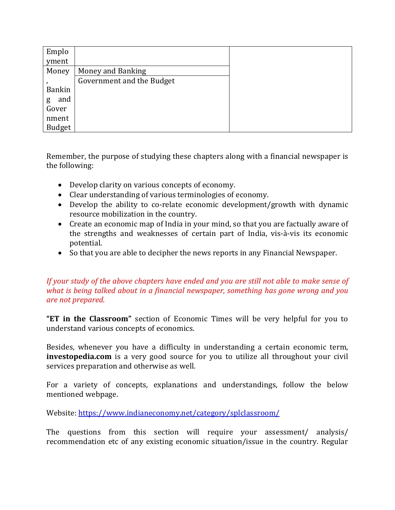| Emplo         |                           |  |
|---------------|---------------------------|--|
| yment         |                           |  |
| Money         | Money and Banking         |  |
|               | Government and the Budget |  |
| <b>Bankin</b> |                           |  |
| and<br>g      |                           |  |
| Gover         |                           |  |
| nment         |                           |  |
| <b>Budget</b> |                           |  |

Remember, the purpose of studying these chapters along with a financial newspaper is the following:

- Develop clarity on various concepts of economy.
- Clear understanding of various terminologies of economy.
- Develop the ability to co-relate economic development/growth with dynamic resource mobilization in the country.
- Create an economic map of India in your mind, so that you are factually aware of the strengths and weaknesses of certain part of India, vis-à-vis its economic potential.
- So that you are able to decipher the news reports in any Financial Newspaper.

#### *If your study of the above chapters have ended and you are still not able to make sense of what is being talked about in a financial newspaper, something has gone wrong and you are not prepared.*

**"ET in the Classroom"** section of Economic Times will be very helpful for you to understand various concepts of economics.

Besides, whenever you have a difficulty in understanding a certain economic term, **investopedia.com** is a very good source for you to utilize all throughout your civil services preparation and otherwise as well.

For a variety of concepts, explanations and understandings, follow the below mentioned webpage.

Website: https://www.indianeconomy.net/category/splclassroom/

The questions from this section will require your assessment/ analysis/ recommendation etc of any existing economic situation/issue in the country. Regular